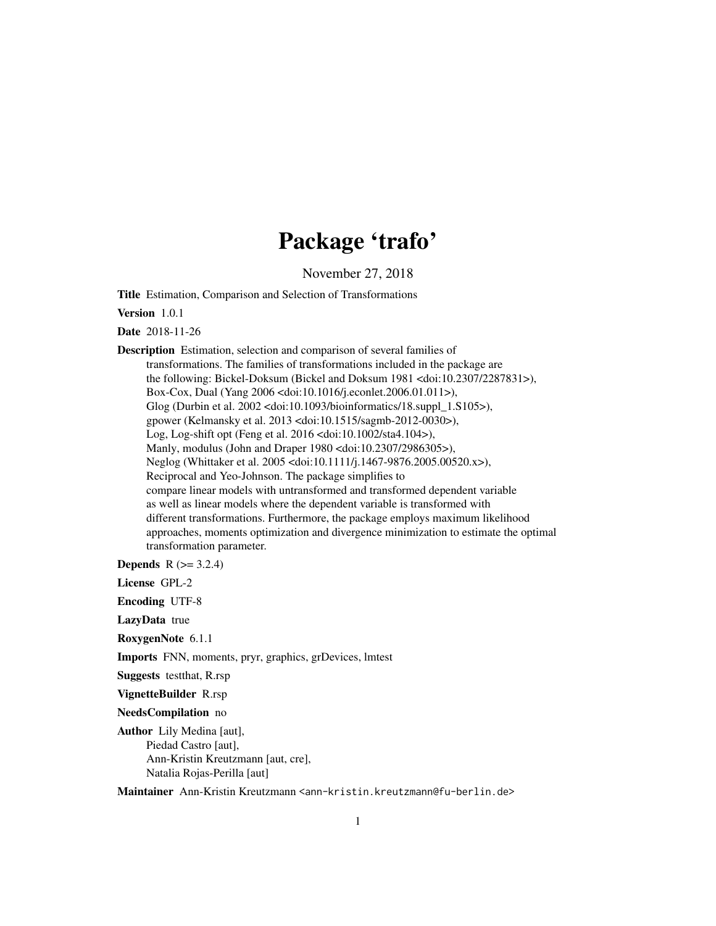# Package 'trafo'

November 27, 2018

<span id="page-0-0"></span>Title Estimation, Comparison and Selection of Transformations

Version 1.0.1

Date 2018-11-26

Description Estimation, selection and comparison of several families of transformations. The families of transformations included in the package are the following: Bickel-Doksum (Bickel and Doksum 1981 <doi:10.2307/2287831>), Box-Cox, Dual (Yang 2006 <doi:10.1016/j.econlet.2006.01.011>), Glog (Durbin et al. 2002 <doi:10.1093/bioinformatics/18.suppl\_1.S105>), gpower (Kelmansky et al. 2013 <doi:10.1515/sagmb-2012-0030>), Log, Log-shift opt (Feng et al. 2016 <doi:10.1002/sta4.104>), Manly, modulus (John and Draper 1980 <doi:10.2307/2986305>), Neglog (Whittaker et al. 2005 <doi:10.1111/j.1467-9876.2005.00520.x>), Reciprocal and Yeo-Johnson. The package simplifies to compare linear models with untransformed and transformed dependent variable as well as linear models where the dependent variable is transformed with different transformations. Furthermore, the package employs maximum likelihood approaches, moments optimization and divergence minimization to estimate the optimal transformation parameter.

**Depends**  $R$  ( $>= 3.2.4$ )

License GPL-2

Encoding UTF-8

LazyData true

RoxygenNote 6.1.1

Imports FNN, moments, pryr, graphics, grDevices, lmtest

Suggests testthat, R.rsp

VignetteBuilder R.rsp

NeedsCompilation no

Author Lily Medina [aut], Piedad Castro [aut], Ann-Kristin Kreutzmann [aut, cre], Natalia Rojas-Perilla [aut]

Maintainer Ann-Kristin Kreutzmann <ann-kristin.kreutzmann@fu-berlin.de>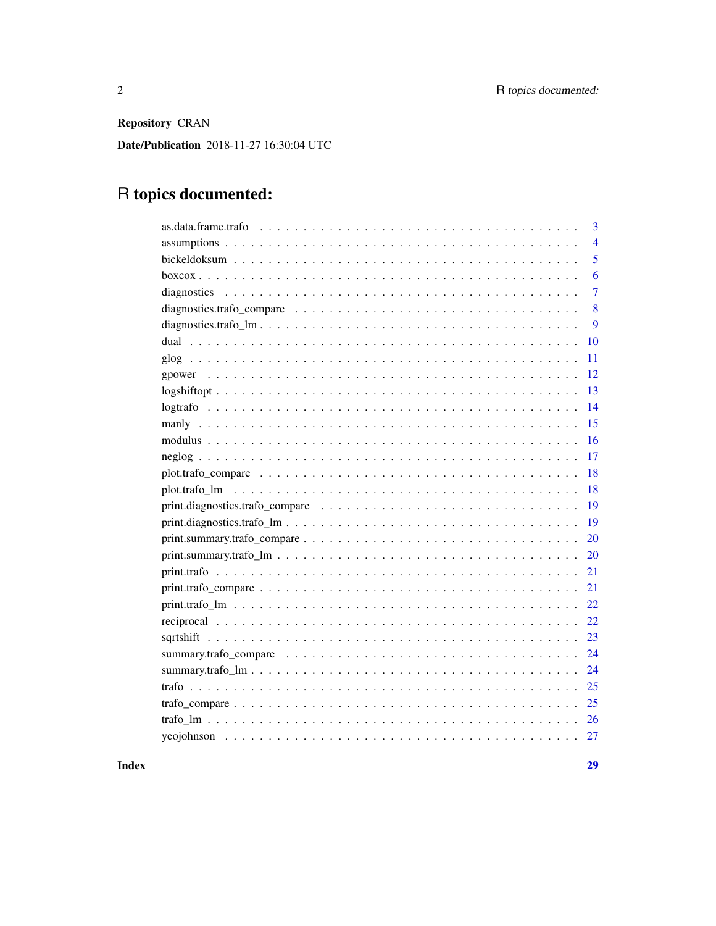Repository CRAN

Date/Publication 2018-11-27 16:30:04 UTC

# R topics documented:

| 3              |
|----------------|
| $\overline{4}$ |
| 5              |
| 6              |
| $\overline{7}$ |
| 8              |
| 9              |
| 10             |
| 11             |
| 12             |
| 13             |
| 14             |
| 15             |
| 16             |
| 17             |
| 18             |
| 18             |
| 19             |
| 19             |
| 20             |
| 20             |
| 21             |
|                |
|                |
| 22             |
|                |
|                |
|                |
|                |
|                |
|                |
|                |
|                |

# **Index**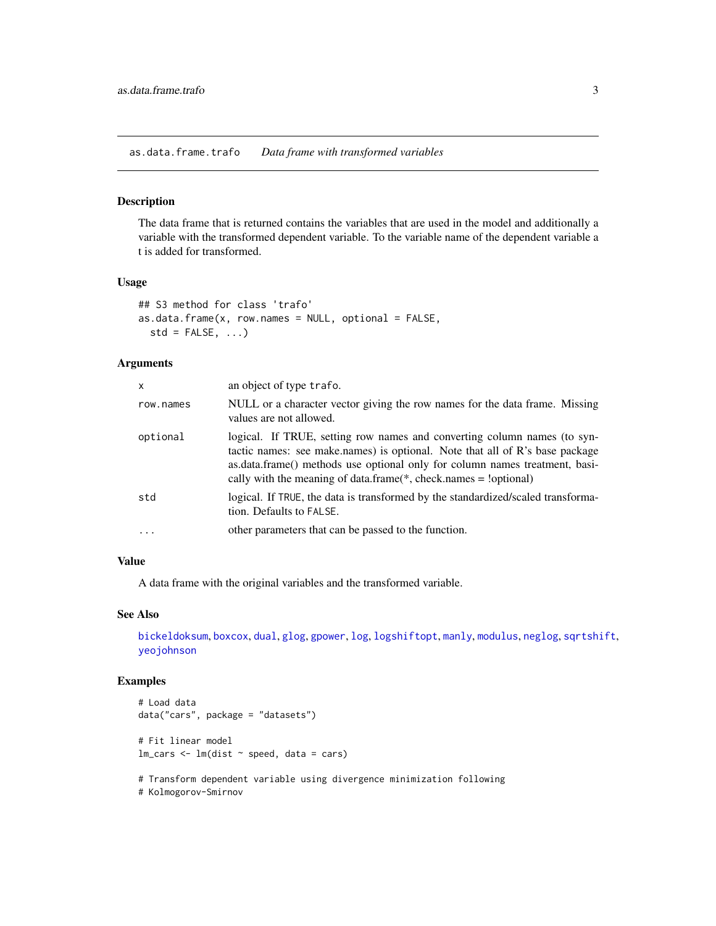<span id="page-2-1"></span><span id="page-2-0"></span>as.data.frame.trafo *Data frame with transformed variables*

#### Description

The data frame that is returned contains the variables that are used in the model and additionally a variable with the transformed dependent variable. To the variable name of the dependent variable a t is added for transformed.

# Usage

```
## S3 method for class 'trafo'
as.data.frame(x, row.name = NULL, optional = FALSE,std = FALSE, ...)
```
#### Arguments

| X          | an object of type trafo.                                                                                                                                                                                                                                                                                        |
|------------|-----------------------------------------------------------------------------------------------------------------------------------------------------------------------------------------------------------------------------------------------------------------------------------------------------------------|
| row.names  | NULL or a character vector giving the row names for the data frame. Missing<br>values are not allowed.                                                                                                                                                                                                          |
| optional   | logical. If TRUE, setting row names and converting column names (to syn-<br>tactic names: see make.names) is optional. Note that all of R's base package<br>as.data.frame() methods use optional only for column names treatment, basi-<br>cally with the meaning of data.frame( $*$ , check.names = !optional) |
| std        | logical. If TRUE, the data is transformed by the standardized/scaled transforma-<br>tion. Defaults to FALSE.                                                                                                                                                                                                    |
| $\ddots$ . | other parameters that can be passed to the function.                                                                                                                                                                                                                                                            |

# Value

A data frame with the original variables and the transformed variable.

#### See Also

[bickeldoksum](#page-4-1), [boxcox](#page-5-1), [dual](#page-9-1), [glog](#page-10-1), [gpower](#page-11-1), [log](#page-0-0), [logshiftopt](#page-12-1), [manly](#page-14-1), [modulus](#page-15-1), [neglog](#page-16-1), [sqrtshift](#page-22-1), [yeojohnson](#page-26-1)

# Examples

```
# Load data
data("cars", package = "datasets")
# Fit linear model
lm\_cars < - lm(dist ~ p, speed, data = cars)
```
# Transform dependent variable using divergence minimization following

# Kolmogorov-Smirnov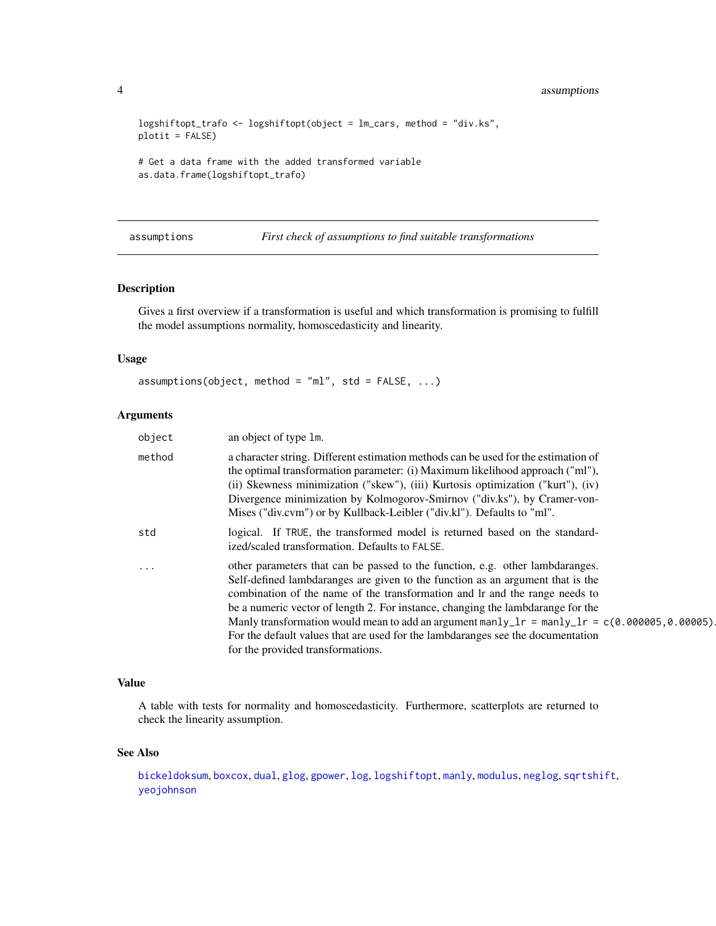```
logshiftopt_trafo <- logshiftopt(object = lm_cars, method = "div.ks",
plotit = FALSE)
# Get a data frame with the added transformed variable
as.data.frame(logshiftopt_trafo)
```
assumptions *First check of assumptions to find suitable transformations*

# Description

Gives a first overview if a transformation is useful and which transformation is promising to fulfill the model assumptions normality, homoscedasticity and linearity.

#### Usage

```
assumptions(objject, method = "ml", std = FALSE, ...)
```
# Arguments

| object   | an object of type 1m.                                                                                                                                                                                                                                                                                                                                                                                                                                                                                                                                        |
|----------|--------------------------------------------------------------------------------------------------------------------------------------------------------------------------------------------------------------------------------------------------------------------------------------------------------------------------------------------------------------------------------------------------------------------------------------------------------------------------------------------------------------------------------------------------------------|
| method   | a character string. Different estimation methods can be used for the estimation of<br>the optimal transformation parameter: (i) Maximum likelihood approach ("ml"),<br>(ii) Skewness minimization ("skew"), (iii) Kurtosis optimization ("kurt"), (iv)<br>Divergence minimization by Kolmogorov-Smirnov ("div.ks"), by Cramer-von-<br>Mises ("div.cvm") or by Kullback-Leibler ("div.kl"). Defaults to "ml".                                                                                                                                                 |
| std      | logical. If TRUE, the transformed model is returned based on the standard-<br>ized/scaled transformation. Defaults to FALSE.                                                                                                                                                                                                                                                                                                                                                                                                                                 |
| $\cdots$ | other parameters that can be passed to the function, e.g. other lambdaranges.<br>Self-defined lambdaranges are given to the function as an argument that is the<br>combination of the name of the transformation and lr and the range needs to<br>be a numeric vector of length 2. For instance, changing the lambdarange for the<br>Manly transformation would mean to add an argument manly_lr = manly_lr = $c(0.000005, 0.00005)$<br>For the default values that are used for the lambdaranges see the documentation<br>for the provided transformations. |

## Value

A table with tests for normality and homoscedasticity. Furthermore, scatterplots are returned to check the linearity assumption.

### See Also

[bickeldoksum](#page-4-1), [boxcox](#page-5-1), [dual](#page-9-1), [glog](#page-10-1), [gpower](#page-11-1), [log](#page-0-0), [logshiftopt](#page-12-1), [manly](#page-14-1), [modulus](#page-15-1), [neglog](#page-16-1), [sqrtshift](#page-22-1), [yeojohnson](#page-26-1)

<span id="page-3-0"></span>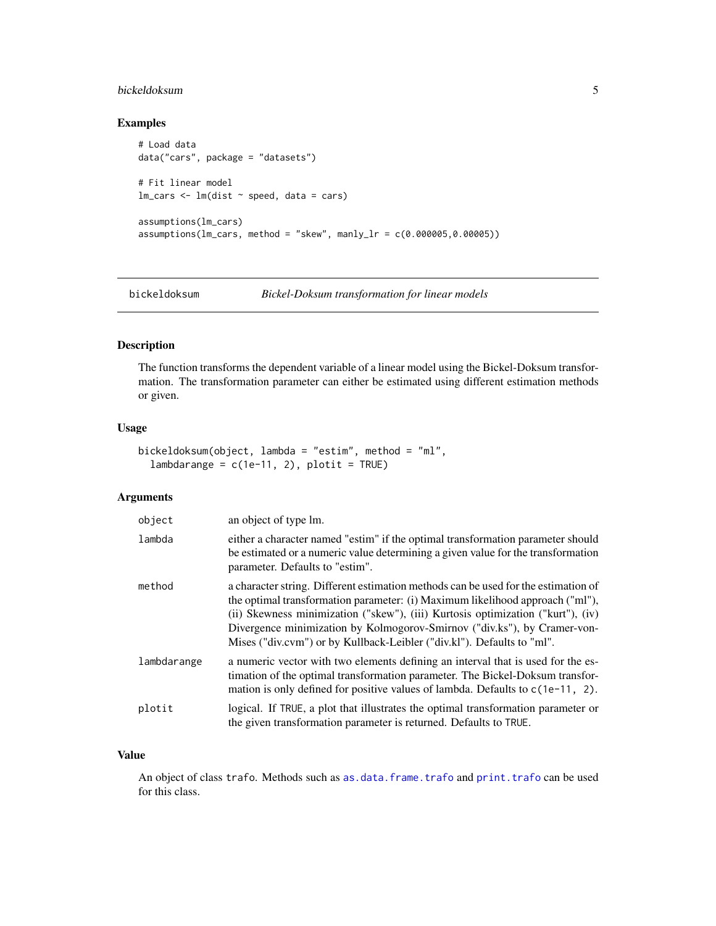# <span id="page-4-0"></span>bickeldoksum 5

# Examples

```
# Load data
data("cars", package = "datasets")
# Fit linear model
lm\_cars < - lm(dist ~ ~ speed, data = cars)assumptions(lm_cars)
assumptions(lm\_cars, method = "skew", manly_l = c(0.000005, 0.00005))
```
<span id="page-4-1"></span>bickeldoksum *Bickel-Doksum transformation for linear models*

#### Description

The function transforms the dependent variable of a linear model using the Bickel-Doksum transformation. The transformation parameter can either be estimated using different estimation methods or given.

#### Usage

```
bickeldoksum(object, lambda = "estim", method = "ml",
  lambdarange = c(1e-11, 2), plotit = TRUE)
```
# Arguments

| object      | an object of type lm.                                                                                                                                                                                                                                                                                                                                                                                        |
|-------------|--------------------------------------------------------------------------------------------------------------------------------------------------------------------------------------------------------------------------------------------------------------------------------------------------------------------------------------------------------------------------------------------------------------|
| lambda      | either a character named "estim" if the optimal transformation parameter should<br>be estimated or a numeric value determining a given value for the transformation<br>parameter. Defaults to "estim".                                                                                                                                                                                                       |
| method      | a character string. Different estimation methods can be used for the estimation of<br>the optimal transformation parameter: (i) Maximum likelihood approach ("ml"),<br>(ii) Skewness minimization ("skew"), (iii) Kurtosis optimization ("kurt"), (iv)<br>Divergence minimization by Kolmogorov-Smirnov ("div.ks"), by Cramer-von-<br>Mises ("div.cvm") or by Kullback-Leibler ("div.kl"). Defaults to "ml". |
| lambdarange | a numeric vector with two elements defining an interval that is used for the es-<br>timation of the optimal transformation parameter. The Bickel-Doksum transfor-<br>mation is only defined for positive values of lambda. Defaults to $c(1e-11, 2)$ .                                                                                                                                                       |
| plotit      | logical. If TRUE, a plot that illustrates the optimal transformation parameter or<br>the given transformation parameter is returned. Defaults to TRUE.                                                                                                                                                                                                                                                       |

## Value

An object of class trafo. Methods such as [as.data.frame.trafo](#page-2-1) and [print.trafo](#page-20-1) can be used for this class.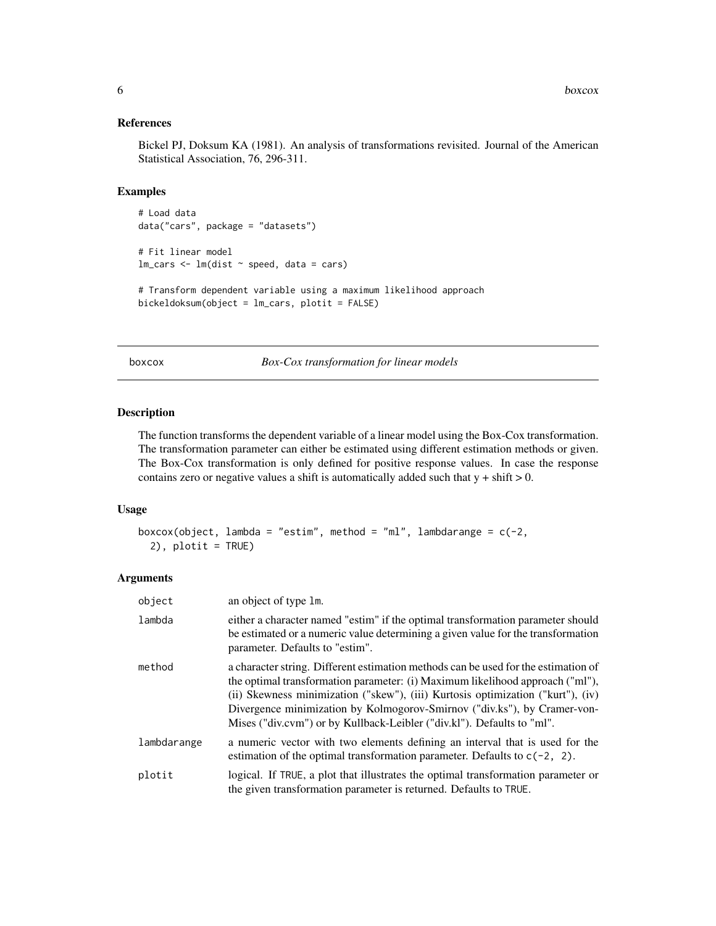#### <span id="page-5-0"></span>References

Bickel PJ, Doksum KA (1981). An analysis of transformations revisited. Journal of the American Statistical Association, 76, 296-311.

# Examples

```
# Load data
data("cars", package = "datasets")
# Fit linear model
lm\_cars < - lm(dist ~ p, speed, data = cars)# Transform dependent variable using a maximum likelihood approach
bickeldoksum(object = lm_cars, plotit = FALSE)
```
<span id="page-5-1"></span>boxcox *Box-Cox transformation for linear models*

# Description

The function transforms the dependent variable of a linear model using the Box-Cox transformation. The transformation parameter can either be estimated using different estimation methods or given. The Box-Cox transformation is only defined for positive response values. In case the response contains zero or negative values a shift is automatically added such that  $y + shift > 0$ .

#### Usage

```
boxcox(object, lambda = "estim", method = "ml", lambdarange = c(-2),
  2), plotit = TRUE)
```

| object      | an object of type 1m.                                                                                                                                                                                                                                                                                                                                                                                        |
|-------------|--------------------------------------------------------------------------------------------------------------------------------------------------------------------------------------------------------------------------------------------------------------------------------------------------------------------------------------------------------------------------------------------------------------|
| lambda      | either a character named "estim" if the optimal transformation parameter should<br>be estimated or a numeric value determining a given value for the transformation<br>parameter. Defaults to "estim".                                                                                                                                                                                                       |
| method      | a character string. Different estimation methods can be used for the estimation of<br>the optimal transformation parameter: (i) Maximum likelihood approach ("ml"),<br>(ii) Skewness minimization ("skew"), (iii) Kurtosis optimization ("kurt"), (iv)<br>Divergence minimization by Kolmogorov-Smirnov ("div.ks"), by Cramer-von-<br>Mises ("div.cvm") or by Kullback-Leibler ("div.kl"). Defaults to "ml". |
| lambdarange | a numeric vector with two elements defining an interval that is used for the<br>estimation of the optimal transformation parameter. Defaults to $c(-2, 2)$ .                                                                                                                                                                                                                                                 |
| plotit      | logical. If TRUE, a plot that illustrates the optimal transformation parameter or<br>the given transformation parameter is returned. Defaults to TRUE.                                                                                                                                                                                                                                                       |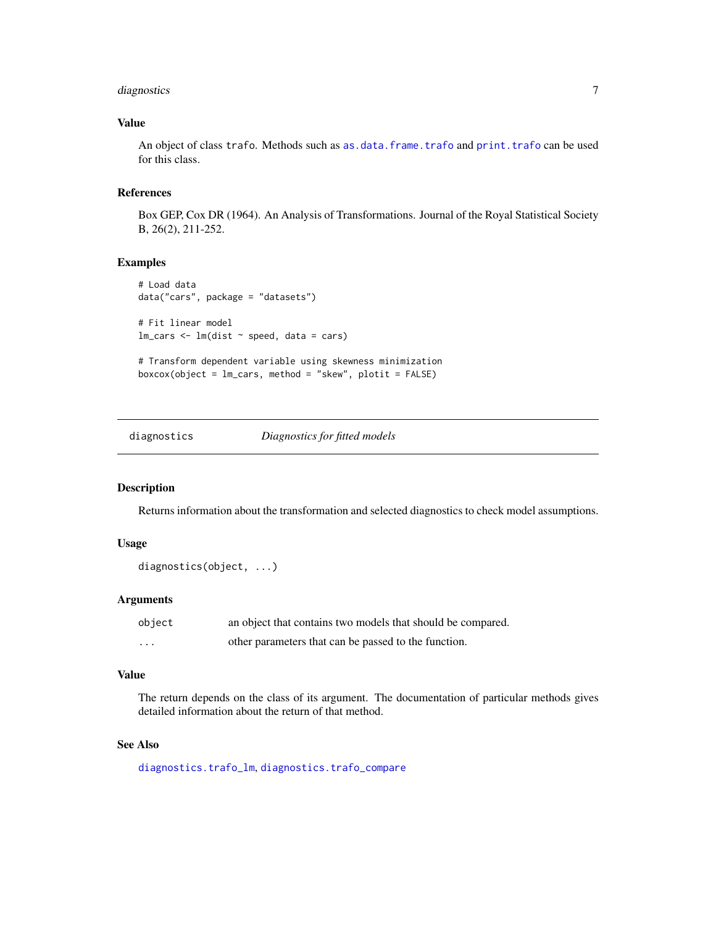# <span id="page-6-0"></span>diagnostics 7

# Value

An object of class trafo. Methods such as [as.data.frame.trafo](#page-2-1) and [print.trafo](#page-20-1) can be used for this class.

# References

Box GEP, Cox DR (1964). An Analysis of Transformations. Journal of the Royal Statistical Society B, 26(2), 211-252.

#### Examples

```
# Load data
data("cars", package = "datasets")
# Fit linear model
lm\_cars < - lm(dist ~ p, speed, data = cars)# Transform dependent variable using skewness minimization
boxcox(object = lm_cars, method = "skew", plotit = FALSE)
```
diagnostics *Diagnostics for fitted models*

#### Description

Returns information about the transformation and selected diagnostics to check model assumptions.

# Usage

```
diagnostics(object, ...)
```
# Arguments

| object | an object that contains two models that should be compared. |
|--------|-------------------------------------------------------------|
| .      | other parameters that can be passed to the function.        |

# Value

The return depends on the class of its argument. The documentation of particular methods gives detailed information about the return of that method.

# See Also

[diagnostics.trafo\\_lm](#page-8-1), [diagnostics.trafo\\_compare](#page-7-1)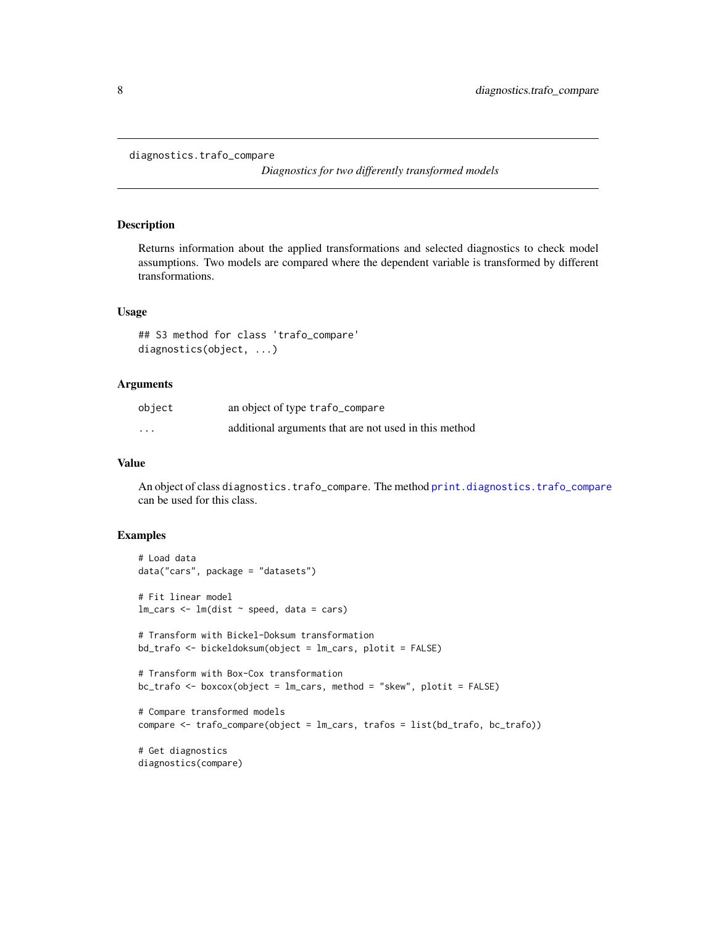```
diagnostics.trafo_compare
```
*Diagnostics for two differently transformed models*

# **Description**

Returns information about the applied transformations and selected diagnostics to check model assumptions. Two models are compared where the dependent variable is transformed by different transformations.

#### Usage

```
## S3 method for class 'trafo_compare'
diagnostics(object, ...)
```
# Arguments

| object   | an object of type trafo_compare                       |
|----------|-------------------------------------------------------|
| $\cdots$ | additional arguments that are not used in this method |

#### Value

An object of class diagnostics.trafo\_compare. The method [print.diagnostics.trafo\\_compare](#page-18-1) can be used for this class.

```
# Load data
data("cars", package = "datasets")
# Fit linear model
lm\_cars < - lm(dist ~ p, speed, data = cars)# Transform with Bickel-Doksum transformation
bd_trafo <- bickeldoksum(object = lm_cars, plotit = FALSE)
# Transform with Box-Cox transformation
bc_trafo <- boxcox(object = lm_cars, method = "skew", plotit = FALSE)
# Compare transformed models
compare <- trafo_compare(object = lm_cars, trafos = list(bd_trafo, bc_trafo))
# Get diagnostics
diagnostics(compare)
```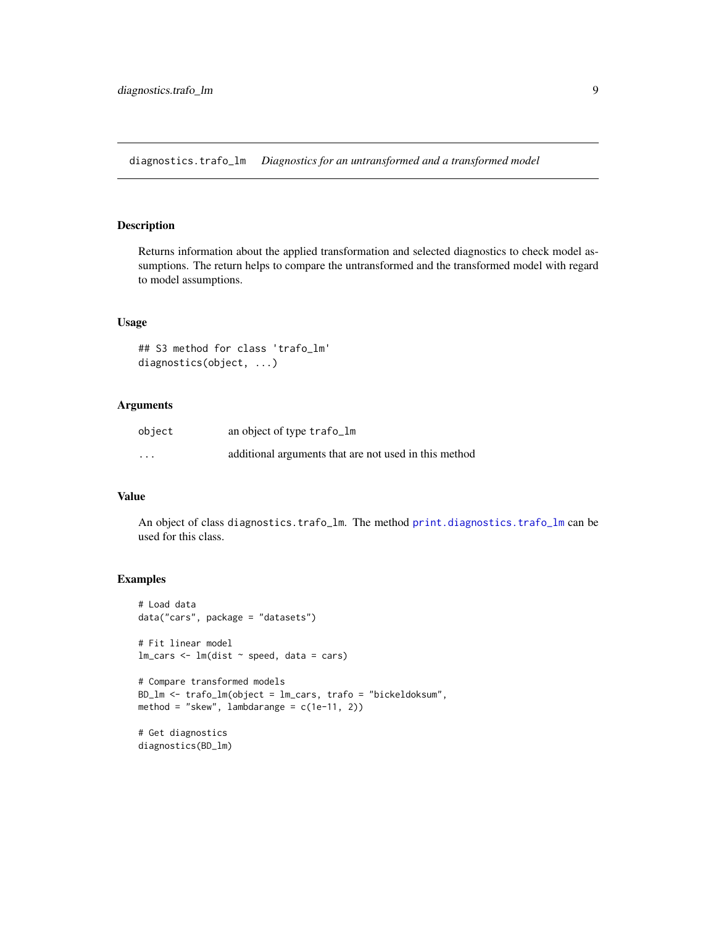<span id="page-8-1"></span><span id="page-8-0"></span>diagnostics.trafo\_lm *Diagnostics for an untransformed and a transformed model*

# Description

Returns information about the applied transformation and selected diagnostics to check model assumptions. The return helps to compare the untransformed and the transformed model with regard to model assumptions.

# Usage

```
## S3 method for class 'trafo_lm'
diagnostics(object, ...)
```
# Arguments

| object   | an object of type trafo_lm                            |
|----------|-------------------------------------------------------|
| $\cdots$ | additional arguments that are not used in this method |

#### Value

An object of class diagnostics.trafo\_lm. The method [print.diagnostics.trafo\\_lm](#page-18-2) can be used for this class.

```
# Load data
data("cars", package = "datasets")
# Fit linear model
lm\_cars < - lm(dist ~ ~ speed, data = cars)# Compare transformed models
BD_lm <- trafo_lm(object = lm_cars, trafo = "bickeldoksum",
method = "skew", lambdarange = c(1e-11, 2))
# Get diagnostics
diagnostics(BD_lm)
```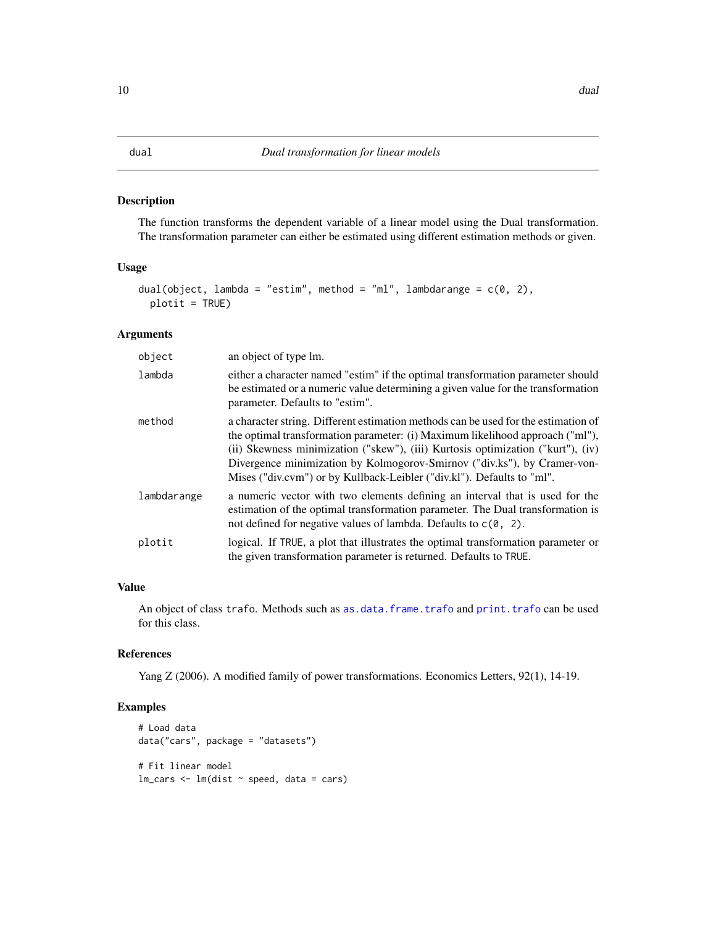<span id="page-9-1"></span><span id="page-9-0"></span>The function transforms the dependent variable of a linear model using the Dual transformation. The transformation parameter can either be estimated using different estimation methods or given.

#### Usage

```
dual(object, lambda = "estim", method = "ml", lambdarange = c(0, 2),
 plotit = TRUE)
```
# Arguments

| object      | an object of type lm.                                                                                                                                                                                                                                                                                                                                                                                        |
|-------------|--------------------------------------------------------------------------------------------------------------------------------------------------------------------------------------------------------------------------------------------------------------------------------------------------------------------------------------------------------------------------------------------------------------|
| lambda      | either a character named "estim" if the optimal transformation parameter should<br>be estimated or a numeric value determining a given value for the transformation<br>parameter. Defaults to "estim".                                                                                                                                                                                                       |
| method      | a character string. Different estimation methods can be used for the estimation of<br>the optimal transformation parameter: (i) Maximum likelihood approach ("ml"),<br>(ii) Skewness minimization ("skew"), (iii) Kurtosis optimization ("kurt"), (iv)<br>Divergence minimization by Kolmogorov-Smirnov ("div.ks"), by Cramer-von-<br>Mises ("div.cvm") or by Kullback-Leibler ("div.kl"). Defaults to "ml". |
| lambdarange | a numeric vector with two elements defining an interval that is used for the<br>estimation of the optimal transformation parameter. The Dual transformation is<br>not defined for negative values of lambda. Defaults to $c(0, 2)$ .                                                                                                                                                                         |
| plotit      | logical. If TRUE, a plot that illustrates the optimal transformation parameter or<br>the given transformation parameter is returned. Defaults to TRUE.                                                                                                                                                                                                                                                       |

# Value

An object of class trafo. Methods such as [as.data.frame.trafo](#page-2-1) and [print.trafo](#page-20-1) can be used for this class.

#### References

Yang Z (2006). A modified family of power transformations. Economics Letters, 92(1), 14-19.

```
# Load data
data("cars", package = "datasets")
# Fit linear model
lm\_cars < - lm(dist ~ p, speed, data = cars)
```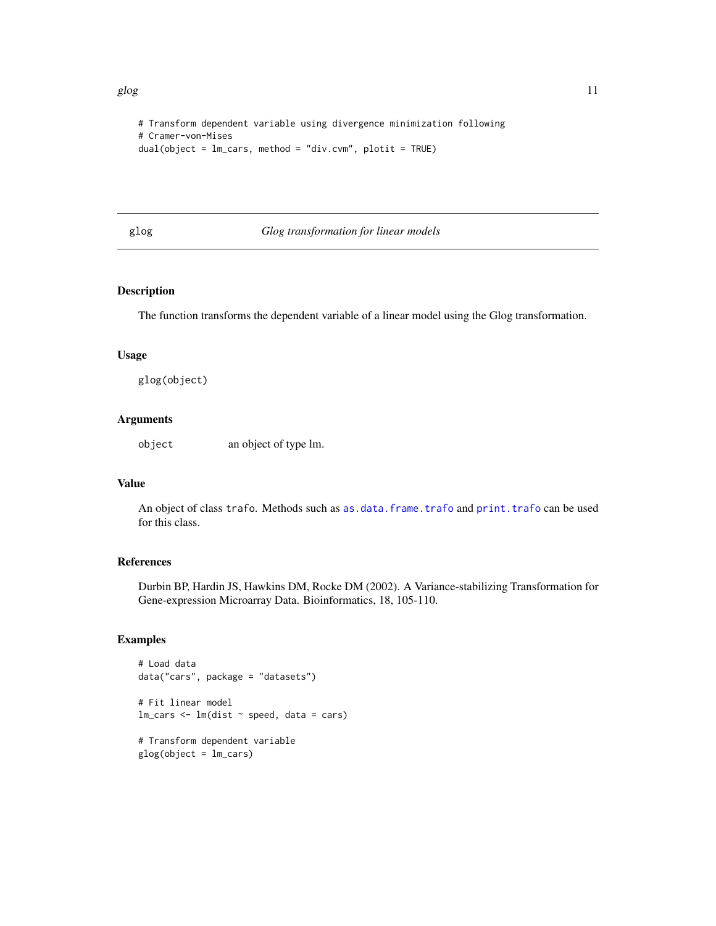```
# Transform dependent variable using divergence minimization following
# Cramer-von-Mises
dual(object = lm_cars, method = "div.cvm", plotit = TRUE)
```
<span id="page-10-1"></span>glog *Glog transformation for linear models*

# Description

The function transforms the dependent variable of a linear model using the Glog transformation.

# Usage

glog(object)

#### Arguments

object an object of type lm.

#### Value

An object of class trafo. Methods such as [as.data.frame.trafo](#page-2-1) and [print.trafo](#page-20-1) can be used for this class.

#### References

Durbin BP, Hardin JS, Hawkins DM, Rocke DM (2002). A Variance-stabilizing Transformation for Gene-expression Microarray Data. Bioinformatics, 18, 105-110.

```
# Load data
data("cars", package = "datasets")
# Fit linear model
lm\_cars < - lm(dist ~ p, speed, data = cars)# Transform dependent variable
glog(object = lm_cars)
```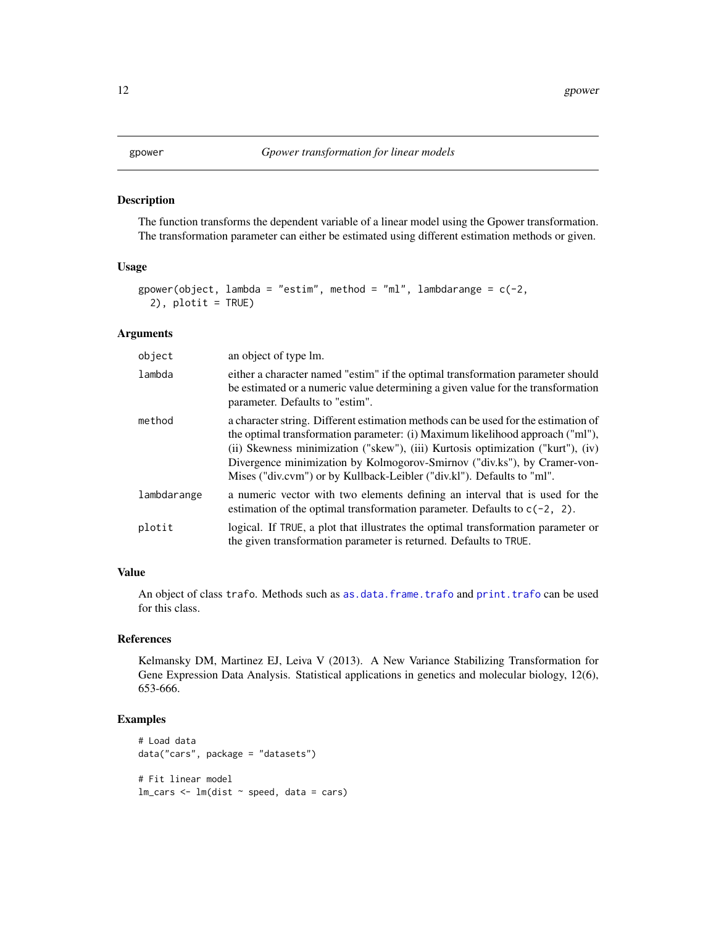<span id="page-11-1"></span><span id="page-11-0"></span>The function transforms the dependent variable of a linear model using the Gpower transformation. The transformation parameter can either be estimated using different estimation methods or given.

#### Usage

```
gpower(object, lambda = "estim", method = "ml", lambdarange = c(-2),
  2), plotit = TRUE)
```
# Arguments

| object      | an object of type lm.                                                                                                                                                                                                                                                                                                                                                                                        |
|-------------|--------------------------------------------------------------------------------------------------------------------------------------------------------------------------------------------------------------------------------------------------------------------------------------------------------------------------------------------------------------------------------------------------------------|
| lambda      | either a character named "estim" if the optimal transformation parameter should<br>be estimated or a numeric value determining a given value for the transformation<br>parameter. Defaults to "estim".                                                                                                                                                                                                       |
| method      | a character string. Different estimation methods can be used for the estimation of<br>the optimal transformation parameter: (i) Maximum likelihood approach ("ml"),<br>(ii) Skewness minimization ("skew"), (iii) Kurtosis optimization ("kurt"), (iv)<br>Divergence minimization by Kolmogorov-Smirnov ("div.ks"), by Cramer-von-<br>Mises ("div.cvm") or by Kullback-Leibler ("div.kl"). Defaults to "ml". |
| lambdarange | a numeric vector with two elements defining an interval that is used for the<br>estimation of the optimal transformation parameter. Defaults to $c(-2, 2)$ .                                                                                                                                                                                                                                                 |
| plotit      | logical. If TRUE, a plot that illustrates the optimal transformation parameter or<br>the given transformation parameter is returned. Defaults to TRUE.                                                                                                                                                                                                                                                       |

# Value

An object of class trafo. Methods such as [as.data.frame.trafo](#page-2-1) and [print.trafo](#page-20-1) can be used for this class.

#### References

Kelmansky DM, Martinez EJ, Leiva V (2013). A New Variance Stabilizing Transformation for Gene Expression Data Analysis. Statistical applications in genetics and molecular biology, 12(6), 653-666.

```
# Load data
data("cars", package = "datasets")
# Fit linear model
lm\_cars < - lm(dist ~ p, speed, data = cars)
```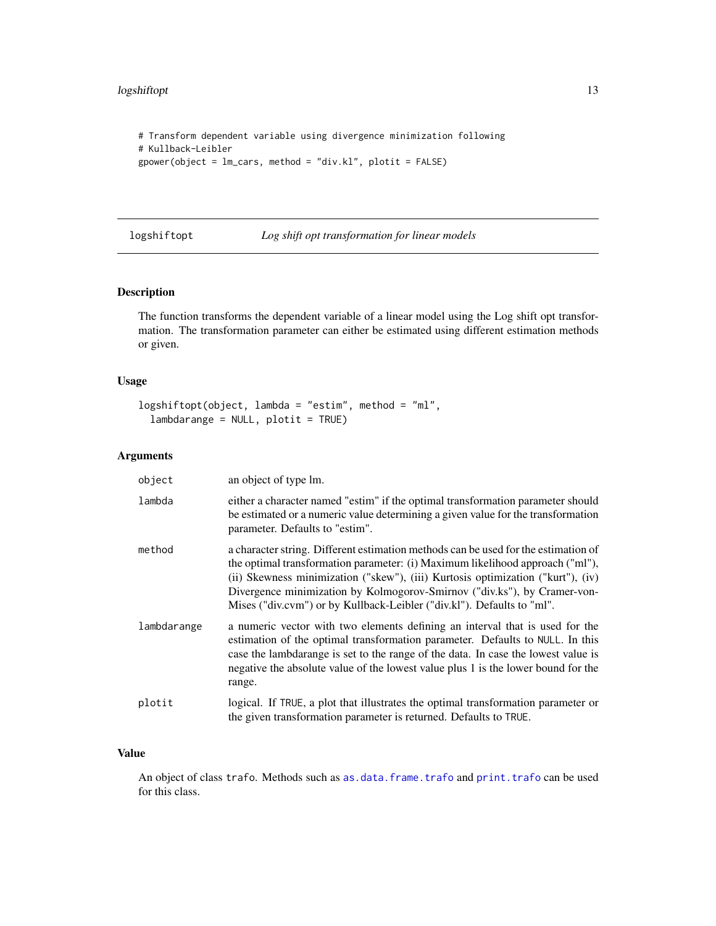```
# Transform dependent variable using divergence minimization following
# Kullback-Leibler
gpower(object = lm_cars, method = "div.kl", plotit = FALSE)
```
<span id="page-12-1"></span>logshiftopt *Log shift opt transformation for linear models*

# Description

The function transforms the dependent variable of a linear model using the Log shift opt transformation. The transformation parameter can either be estimated using different estimation methods or given.

# Usage

```
logshiftopt(object, lambda = "estim", method = "ml",lambdarange = NULL, plotit = TRUE)
```
# Arguments

| object      | an object of type lm.                                                                                                                                                                                                                                                                                                                                                                                        |
|-------------|--------------------------------------------------------------------------------------------------------------------------------------------------------------------------------------------------------------------------------------------------------------------------------------------------------------------------------------------------------------------------------------------------------------|
| lambda      | either a character named "estim" if the optimal transformation parameter should<br>be estimated or a numeric value determining a given value for the transformation<br>parameter. Defaults to "estim".                                                                                                                                                                                                       |
| method      | a character string. Different estimation methods can be used for the estimation of<br>the optimal transformation parameter: (i) Maximum likelihood approach ("ml"),<br>(ii) Skewness minimization ("skew"), (iii) Kurtosis optimization ("kurt"), (iv)<br>Divergence minimization by Kolmogorov-Smirnov ("div.ks"), by Cramer-von-<br>Mises ("div.cvm") or by Kullback-Leibler ("div.kl"). Defaults to "ml". |
| lambdarange | a numeric vector with two elements defining an interval that is used for the<br>estimation of the optimal transformation parameter. Defaults to NULL. In this<br>case the lambdarange is set to the range of the data. In case the lowest value is<br>negative the absolute value of the lowest value plus 1 is the lower bound for the<br>range.                                                            |
| plotit      | logical. If TRUE, a plot that illustrates the optimal transformation parameter or<br>the given transformation parameter is returned. Defaults to TRUE.                                                                                                                                                                                                                                                       |

### Value

An object of class trafo. Methods such as [as.data.frame.trafo](#page-2-1) and [print.trafo](#page-20-1) can be used for this class.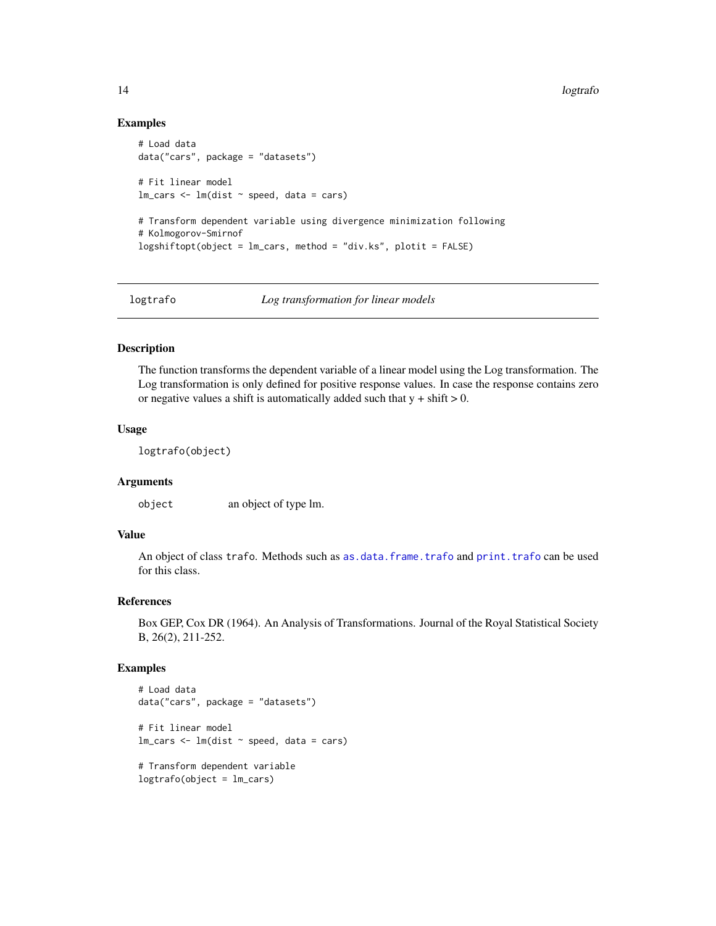#### Examples

```
# Load data
data("cars", package = "datasets")
# Fit linear model
lm\_cars < - lm(dist ~ p, speed, data = cars)# Transform dependent variable using divergence minimization following
# Kolmogorov-Smirnof
logshiftopt(object = lm_cars, method = "div.ks", plotit = FALSE)
```
logtrafo *Log transformation for linear models*

#### Description

The function transforms the dependent variable of a linear model using the Log transformation. The Log transformation is only defined for positive response values. In case the response contains zero or negative values a shift is automatically added such that  $y + shift > 0$ .

#### Usage

logtrafo(object)

# Arguments

object an object of type lm.

# Value

An object of class trafo. Methods such as [as.data.frame.trafo](#page-2-1) and [print.trafo](#page-20-1) can be used for this class.

#### References

Box GEP, Cox DR (1964). An Analysis of Transformations. Journal of the Royal Statistical Society B, 26(2), 211-252.

```
# Load data
data("cars", package = "datasets")
# Fit linear model
lm\_cars < - lm(dist ~ p, speed, data = cars)# Transform dependent variable
logtrafo(object = lm_cars)
```
<span id="page-13-0"></span>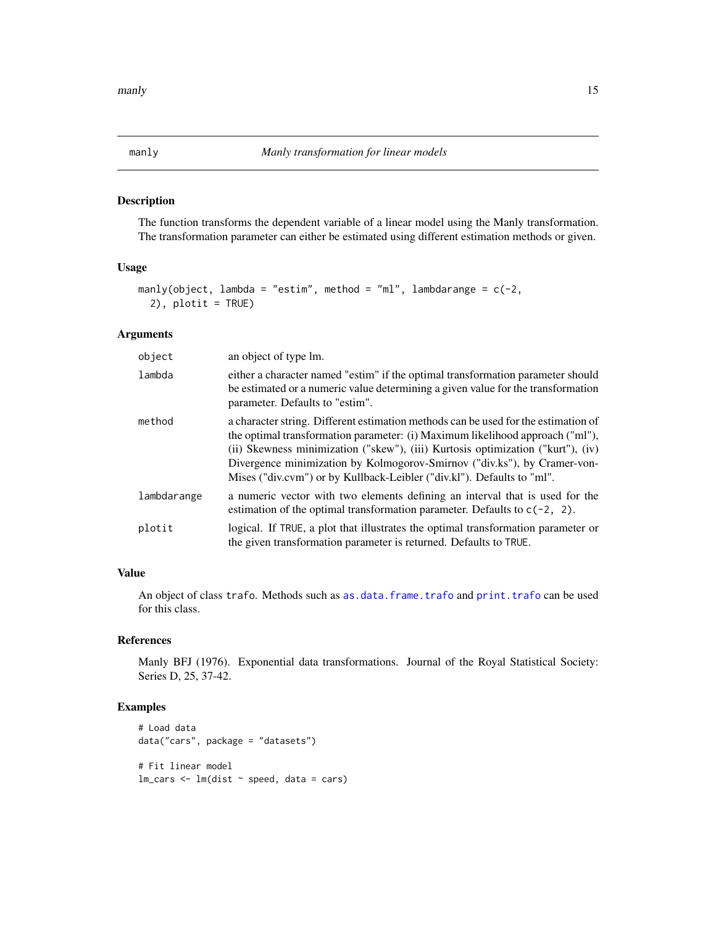<span id="page-14-1"></span><span id="page-14-0"></span>The function transforms the dependent variable of a linear model using the Manly transformation. The transformation parameter can either be estimated using different estimation methods or given.

#### Usage

```
manly(object, lambda = "estim", method = "ml", lambdarange = c(-2),
  2), plotit = TRUE)
```
# Arguments

| object      | an object of type lm.                                                                                                                                                                                                                                                                                                                                                                                        |
|-------------|--------------------------------------------------------------------------------------------------------------------------------------------------------------------------------------------------------------------------------------------------------------------------------------------------------------------------------------------------------------------------------------------------------------|
| lambda      | either a character named "estim" if the optimal transformation parameter should<br>be estimated or a numeric value determining a given value for the transformation<br>parameter. Defaults to "estim".                                                                                                                                                                                                       |
| method      | a character string. Different estimation methods can be used for the estimation of<br>the optimal transformation parameter: (i) Maximum likelihood approach ("ml"),<br>(ii) Skewness minimization ("skew"), (iii) Kurtosis optimization ("kurt"), (iv)<br>Divergence minimization by Kolmogorov-Smirnov ("div.ks"), by Cramer-von-<br>Mises ("div.cvm") or by Kullback-Leibler ("div.kl"). Defaults to "ml". |
| lambdarange | a numeric vector with two elements defining an interval that is used for the<br>estimation of the optimal transformation parameter. Defaults to $c(-2, 2)$ .                                                                                                                                                                                                                                                 |
| plotit      | logical. If TRUE, a plot that illustrates the optimal transformation parameter or<br>the given transformation parameter is returned. Defaults to TRUE.                                                                                                                                                                                                                                                       |

# Value

An object of class trafo. Methods such as [as.data.frame.trafo](#page-2-1) and [print.trafo](#page-20-1) can be used for this class.

# References

Manly BFJ (1976). Exponential data transformations. Journal of the Royal Statistical Society: Series D, 25, 37-42.

```
# Load data
data("cars", package = "datasets")
# Fit linear model
lm\_cars < - lm(dist ~ p, speed, data = cars)
```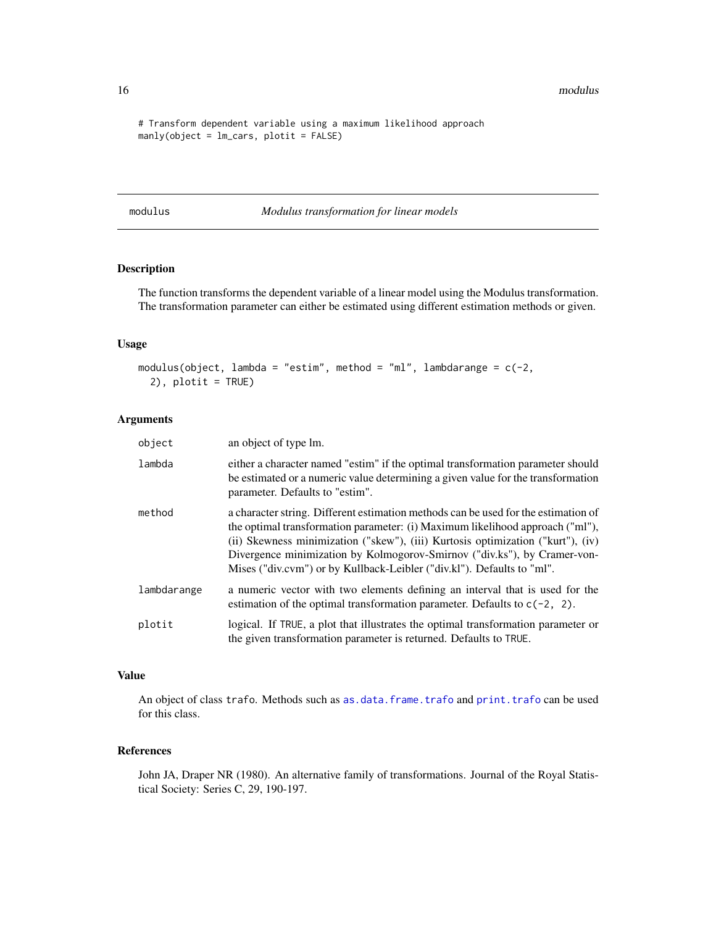<span id="page-15-0"></span>16 modulus notation and the contract of the contract of the contract of the contract of the contract of the contract of the contract of the contract of the contract of the contract of the contract of the contract of the co

```
# Transform dependent variable using a maximum likelihood approach
manly(object = lm_cars, plotit = FALSE)
```
<span id="page-15-1"></span>modulus *Modulus transformation for linear models*

# Description

The function transforms the dependent variable of a linear model using the Modulus transformation. The transformation parameter can either be estimated using different estimation methods or given.

#### Usage

```
modulus(object, lambda = "estim", method = "ml", lambdarange = c(-2),
  2), plotit = TRUE)
```
# Arguments

| object      | an object of type lm.                                                                                                                                                                                                                                                                                                                                                                                        |
|-------------|--------------------------------------------------------------------------------------------------------------------------------------------------------------------------------------------------------------------------------------------------------------------------------------------------------------------------------------------------------------------------------------------------------------|
| lambda      | either a character named "estim" if the optimal transformation parameter should<br>be estimated or a numeric value determining a given value for the transformation<br>parameter. Defaults to "estim".                                                                                                                                                                                                       |
| method      | a character string. Different estimation methods can be used for the estimation of<br>the optimal transformation parameter: (i) Maximum likelihood approach ("ml"),<br>(ii) Skewness minimization ("skew"), (iii) Kurtosis optimization ("kurt"), (iv)<br>Divergence minimization by Kolmogorov-Smirnov ("div.ks"), by Cramer-von-<br>Mises ("div.cvm") or by Kullback-Leibler ("div.kl"). Defaults to "ml". |
| lambdarange | a numeric vector with two elements defining an interval that is used for the<br>estimation of the optimal transformation parameter. Defaults to $c(-2, 2)$ .                                                                                                                                                                                                                                                 |
| plotit      | logical. If TRUE, a plot that illustrates the optimal transformation parameter or<br>the given transformation parameter is returned. Defaults to TRUE.                                                                                                                                                                                                                                                       |

#### Value

An object of class trafo. Methods such as [as.data.frame.trafo](#page-2-1) and [print.trafo](#page-20-1) can be used for this class.

# References

John JA, Draper NR (1980). An alternative family of transformations. Journal of the Royal Statistical Society: Series C, 29, 190-197.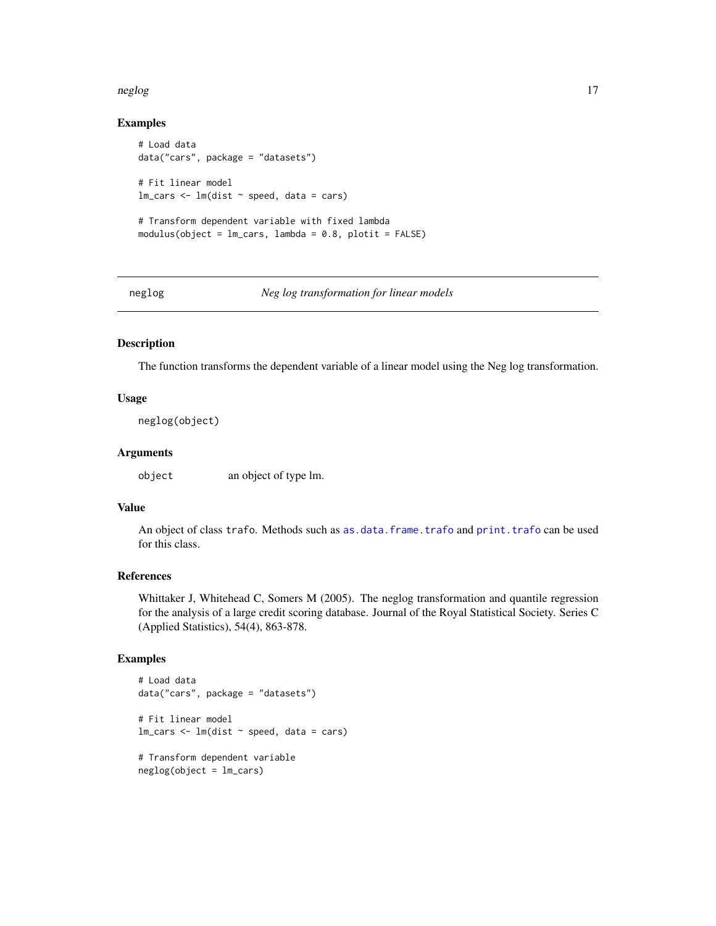#### <span id="page-16-0"></span>neglog til 17

# Examples

```
# Load data
data("cars", package = "datasets")
# Fit linear model
lm\_cars < - lm(dist ~ p, speed, data = cars)# Transform dependent variable with fixed lambda
modulus(object = lm_cars, lambda = 0.8, plotit = FALSE)
```
<span id="page-16-1"></span>

neglog *Neg log transformation for linear models*

#### Description

The function transforms the dependent variable of a linear model using the Neg log transformation.

# Usage

neglog(object)

#### Arguments

object an object of type lm.

# Value

An object of class trafo. Methods such as [as.data.frame.trafo](#page-2-1) and [print.trafo](#page-20-1) can be used for this class.

#### References

Whittaker J, Whitehead C, Somers M (2005). The neglog transformation and quantile regression for the analysis of a large credit scoring database. Journal of the Royal Statistical Society. Series C (Applied Statistics), 54(4), 863-878.

```
# Load data
data("cars", package = "datasets")
# Fit linear model
lm\_cars < - lm(dist ~ p, speed, data = cars)# Transform dependent variable
neglog(object = lm_cars)
```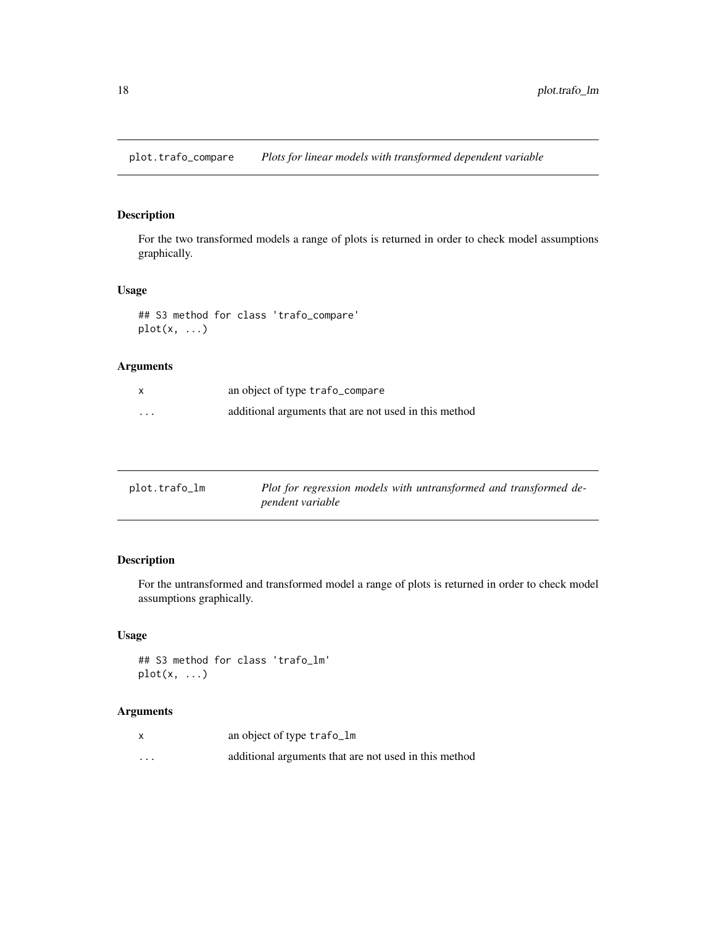<span id="page-17-1"></span><span id="page-17-0"></span>plot.trafo\_compare *Plots for linear models with transformed dependent variable*

# Description

For the two transformed models a range of plots is returned in order to check model assumptions graphically.

### Usage

```
## S3 method for class 'trafo_compare'
plot(x, \ldots)
```
# Arguments

| X        | an object of type trafo_compare                       |
|----------|-------------------------------------------------------|
| $\cdots$ | additional arguments that are not used in this method |

<span id="page-17-2"></span>

| plot.trafo_lm | Plot for regression models with untransformed and transformed de- |
|---------------|-------------------------------------------------------------------|
|               | pendent variable                                                  |

# Description

For the untransformed and transformed model a range of plots is returned in order to check model assumptions graphically.

#### Usage

## S3 method for class 'trafo\_lm' plot(x, ...)

| X        | an object of type trafo_lm                            |
|----------|-------------------------------------------------------|
| $\cdots$ | additional arguments that are not used in this method |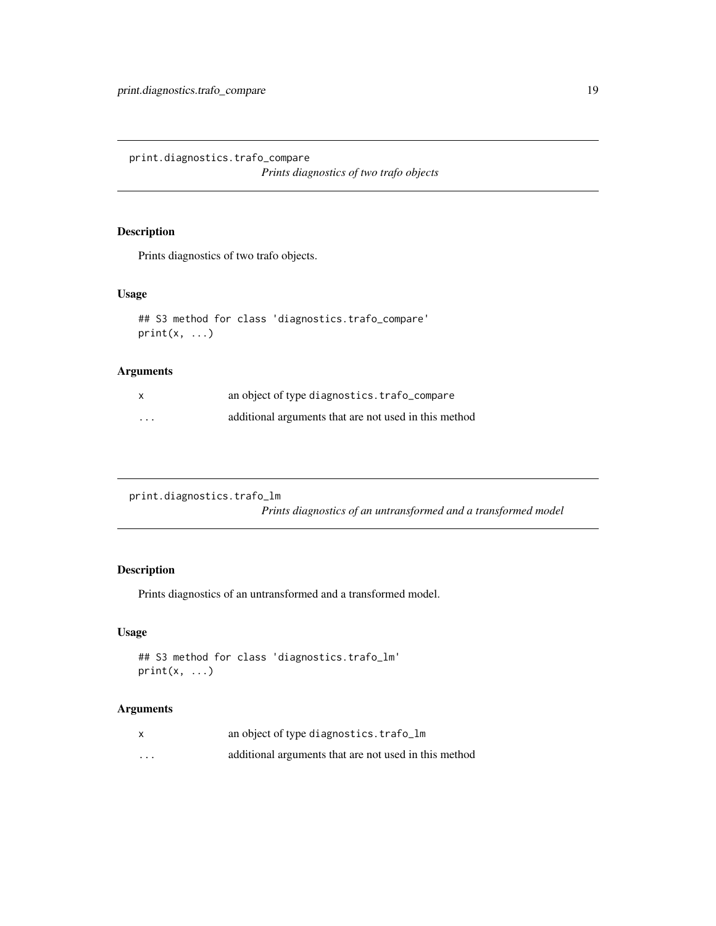<span id="page-18-1"></span><span id="page-18-0"></span>print.diagnostics.trafo\_compare *Prints diagnostics of two trafo objects*

# Description

Prints diagnostics of two trafo objects.

# Usage

```
## S3 method for class 'diagnostics.trafo_compare'
print(x, \ldots)
```
# Arguments

| X        | an object of type diagnostics.trafo_compare           |
|----------|-------------------------------------------------------|
| $\cdots$ | additional arguments that are not used in this method |

```
print.diagnostics.trafo_lm
```
*Prints diagnostics of an untransformed and a transformed model*

# Description

Prints diagnostics of an untransformed and a transformed model.

# Usage

```
## S3 method for class 'diagnostics.trafo_lm'
print(x, \ldots)
```

|          | an object of type diagnostics.trafo_lm                |
|----------|-------------------------------------------------------|
| $\cdots$ | additional arguments that are not used in this method |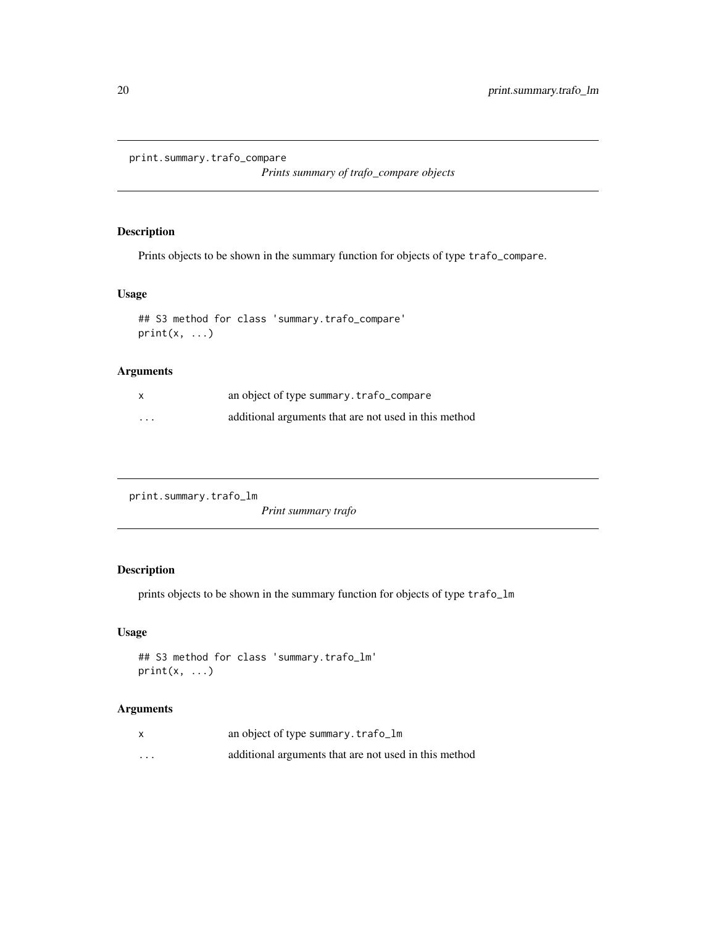```
print.summary.trafo_compare
```
*Prints summary of trafo\_compare objects*

# Description

Prints objects to be shown in the summary function for objects of type trafo\_compare.

# Usage

```
## S3 method for class 'summary.trafo_compare'
print(x, \ldots)
```
# Arguments

| X        | an object of type summary.trafo_compare               |
|----------|-------------------------------------------------------|
| $\cdots$ | additional arguments that are not used in this method |

<span id="page-19-2"></span>print.summary.trafo\_lm

*Print summary trafo*

# Description

prints objects to be shown in the summary function for objects of type trafo\_lm

# Usage

```
## S3 method for class 'summary.trafo_lm'
print(x, \ldots)
```

|          | an object of type summary.trafo_lm                    |
|----------|-------------------------------------------------------|
| $\cdots$ | additional arguments that are not used in this method |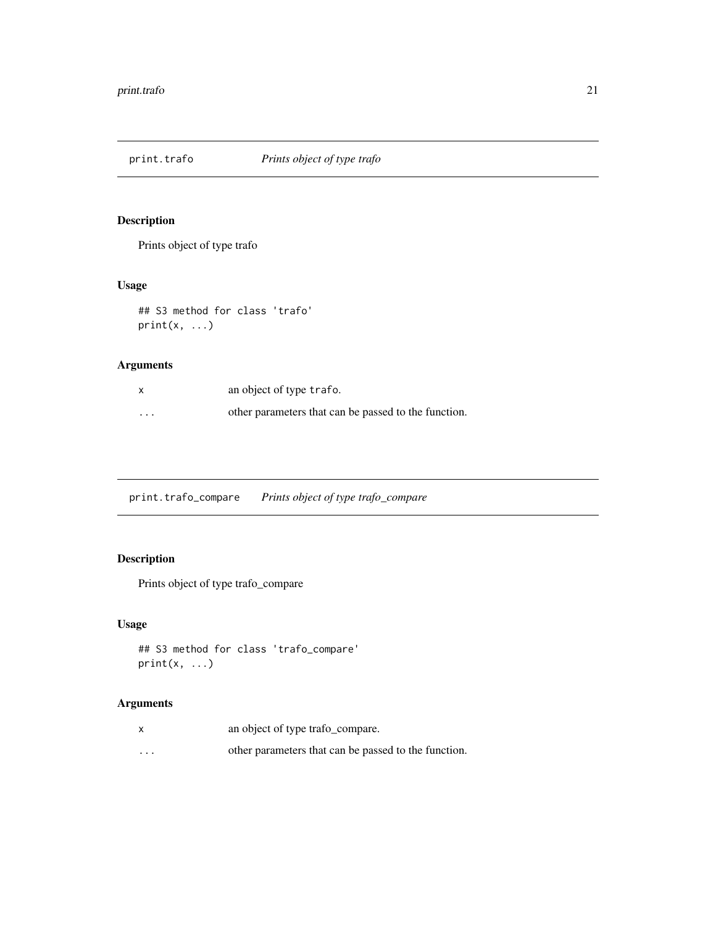<span id="page-20-1"></span><span id="page-20-0"></span>

Prints object of type trafo

# Usage

```
## S3 method for class 'trafo'
print(x, \ldots)
```
# Arguments

|          | an object of type trafo.                             |
|----------|------------------------------------------------------|
| $\cdots$ | other parameters that can be passed to the function. |

<span id="page-20-2"></span>print.trafo\_compare *Prints object of type trafo\_compare*

# Description

Prints object of type trafo\_compare

# Usage

```
## S3 method for class 'trafo_compare'
print(x, \ldots)
```

|         | an object of type trafo_compare.                     |
|---------|------------------------------------------------------|
| $\cdot$ | other parameters that can be passed to the function. |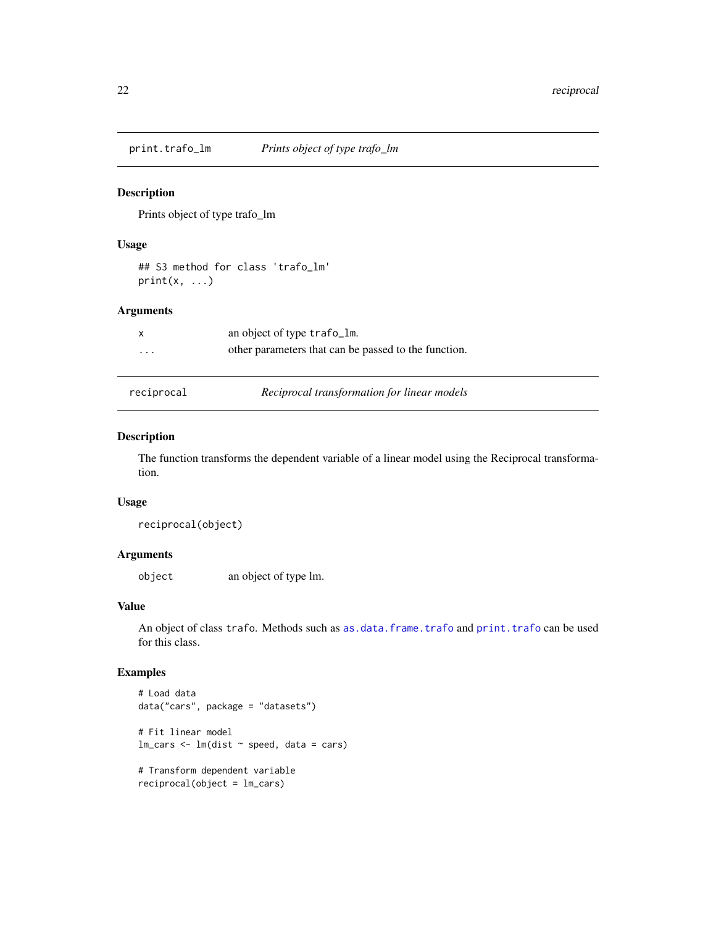<span id="page-21-1"></span><span id="page-21-0"></span>

Prints object of type trafo\_lm

# Usage

## S3 method for class 'trafo\_lm'  $print(x, \ldots)$ 

### Arguments

|          | an object of type trafo_lm.                          |
|----------|------------------------------------------------------|
| $\cdots$ | other parameters that can be passed to the function. |

reciprocal *Reciprocal transformation for linear models*

# Description

The function transforms the dependent variable of a linear model using the Reciprocal transformation.

#### Usage

```
reciprocal(object)
```
# Arguments

object an object of type lm.

# Value

An object of class trafo. Methods such as [as.data.frame.trafo](#page-2-1) and [print.trafo](#page-20-1) can be used for this class.

```
# Load data
data("cars", package = "datasets")
# Fit linear model
lm\_cars < - lm(dist ~ p, speed, data = cars)# Transform dependent variable
reciprocal(object = lm_cars)
```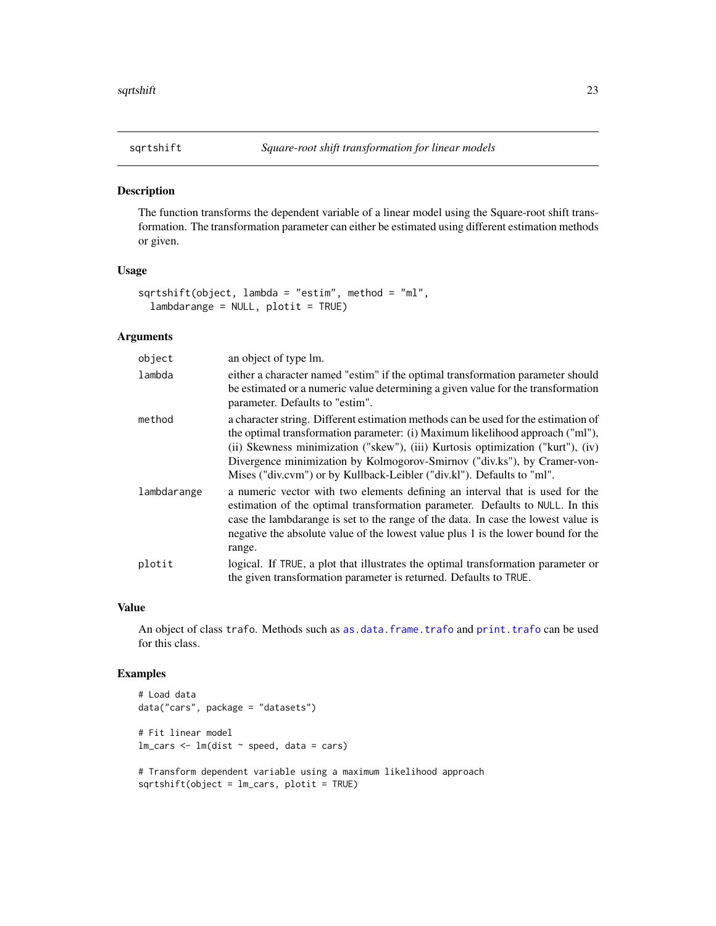<span id="page-22-1"></span><span id="page-22-0"></span>

The function transforms the dependent variable of a linear model using the Square-root shift transformation. The transformation parameter can either be estimated using different estimation methods or given.

# Usage

```
sqrtshift(object, lambda = "estim", method = "ml",
 lambdarange = NULL, plotit = TRUE)
```
#### Arguments

| object      | an object of type lm.                                                                                                                                                                                                                                                                                                                                                                                        |
|-------------|--------------------------------------------------------------------------------------------------------------------------------------------------------------------------------------------------------------------------------------------------------------------------------------------------------------------------------------------------------------------------------------------------------------|
| lambda      | either a character named "estim" if the optimal transformation parameter should<br>be estimated or a numeric value determining a given value for the transformation<br>parameter. Defaults to "estim".                                                                                                                                                                                                       |
| method      | a character string. Different estimation methods can be used for the estimation of<br>the optimal transformation parameter: (i) Maximum likelihood approach ("ml"),<br>(ii) Skewness minimization ("skew"), (iii) Kurtosis optimization ("kurt"), (iv)<br>Divergence minimization by Kolmogorov-Smirnov ("div.ks"), by Cramer-von-<br>Mises ("div.cvm") or by Kullback-Leibler ("div.kl"). Defaults to "ml". |
| lambdarange | a numeric vector with two elements defining an interval that is used for the<br>estimation of the optimal transformation parameter. Defaults to NULL. In this<br>case the lambdarange is set to the range of the data. In case the lowest value is<br>negative the absolute value of the lowest value plus 1 is the lower bound for the<br>range.                                                            |
| plotit      | logical. If TRUE, a plot that illustrates the optimal transformation parameter or<br>the given transformation parameter is returned. Defaults to TRUE.                                                                                                                                                                                                                                                       |

#### Value

An object of class trafo. Methods such as [as.data.frame.trafo](#page-2-1) and [print.trafo](#page-20-1) can be used for this class.

```
# Load data
data("cars", package = "datasets")
# Fit linear model
lm\_cars < - lm(dist ~ p, speed, data = cars)# Transform dependent variable using a maximum likelihood approach
```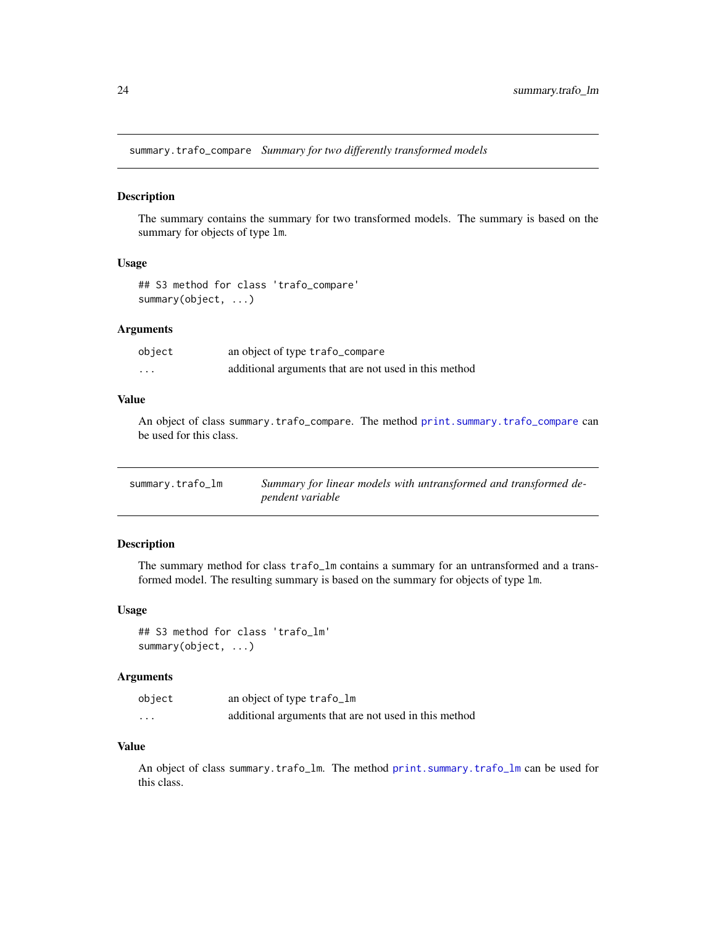<span id="page-23-1"></span><span id="page-23-0"></span>summary.trafo\_compare *Summary for two differently transformed models*

#### Description

The summary contains the summary for two transformed models. The summary is based on the summary for objects of type lm.

## Usage

## S3 method for class 'trafo\_compare' summary(object, ...)

#### Arguments

| object   | an object of type trafo_compare                       |
|----------|-------------------------------------------------------|
| $\cdots$ | additional arguments that are not used in this method |

# Value

An object of class summary.trafo\_compare. The method [print.summary.trafo\\_compare](#page-19-1) can be used for this class.

<span id="page-23-2"></span>

| summary.trafo_lm | Summary for linear models with untransformed and transformed de- |
|------------------|------------------------------------------------------------------|
|                  | pendent variable                                                 |

#### Description

The summary method for class trafo\_lm contains a summary for an untransformed and a transformed model. The resulting summary is based on the summary for objects of type lm.

#### Usage

## S3 method for class 'trafo\_lm' summary(object, ...)

# Arguments

| object   | an object of type trafo_lm                            |
|----------|-------------------------------------------------------|
| $\cdots$ | additional arguments that are not used in this method |

# Value

An object of class summary.trafo\_lm. The method [print.summary.trafo\\_lm](#page-19-2) can be used for this class.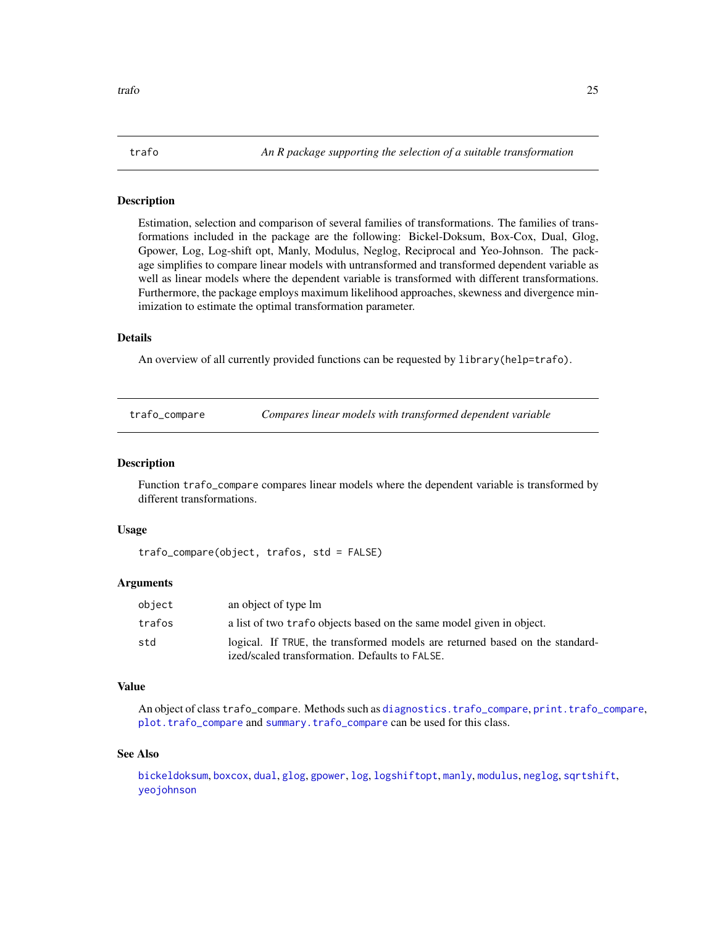<span id="page-24-0"></span>Estimation, selection and comparison of several families of transformations. The families of transformations included in the package are the following: Bickel-Doksum, Box-Cox, Dual, Glog, Gpower, Log, Log-shift opt, Manly, Modulus, Neglog, Reciprocal and Yeo-Johnson. The package simplifies to compare linear models with untransformed and transformed dependent variable as well as linear models where the dependent variable is transformed with different transformations. Furthermore, the package employs maximum likelihood approaches, skewness and divergence minimization to estimate the optimal transformation parameter.

#### Details

An overview of all currently provided functions can be requested by library(help=trafo).

| trafo_compare |  | Compares linear models with transformed dependent variable |
|---------------|--|------------------------------------------------------------|
|               |  |                                                            |

### Description

Function trafo\_compare compares linear models where the dependent variable is transformed by different transformations.

#### Usage

```
trafo_compare(object, trafos, std = FALSE)
```
#### Arguments

| object | an object of type lm                                                         |
|--------|------------------------------------------------------------------------------|
| trafos | a list of two trafo objects based on the same model given in object.         |
| std    | logical. If TRUE, the transformed models are returned based on the standard- |
|        | ized/scaled transformation. Defaults to FALSE.                               |

#### Value

An object of class trafo\_compare. Methods such as [diagnostics.trafo\\_compare](#page-7-1), [print.trafo\\_compare](#page-20-2), [plot.trafo\\_compare](#page-17-1) and [summary.trafo\\_compare](#page-23-1) can be used for this class.

#### See Also

[bickeldoksum](#page-4-1), [boxcox](#page-5-1), [dual](#page-9-1), [glog](#page-10-1), [gpower](#page-11-1), [log](#page-0-0), [logshiftopt](#page-12-1), [manly](#page-14-1), [modulus](#page-15-1), [neglog](#page-16-1), [sqrtshift](#page-22-1), [yeojohnson](#page-26-1)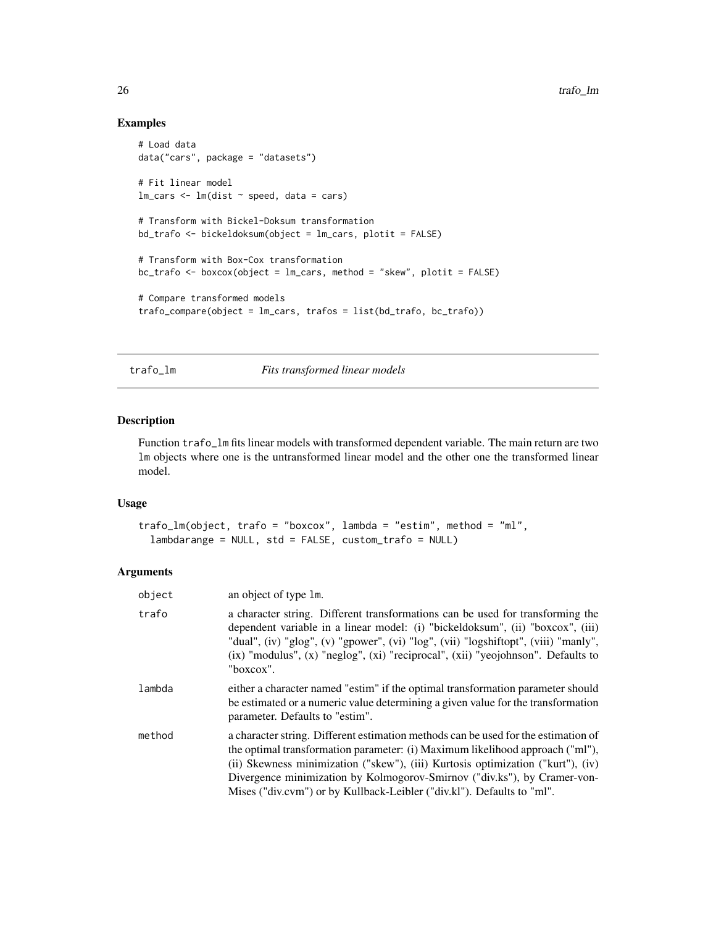# Examples

```
# Load data
data("cars", package = "datasets")
# Fit linear model
lm\_cars < - lm(dist ~ p, speed, data = cars)# Transform with Bickel-Doksum transformation
bd_trafo <- bickeldoksum(object = lm_cars, plotit = FALSE)
# Transform with Box-Cox transformation
bc_trafo <- boxcox(object = lm_cars, method = "skew", plotit = FALSE)
# Compare transformed models
trafo_compare(object = lm_cars, trafos = list(bd_trafo, bc_trafo))
```
trafo\_lm *Fits transformed linear models*

### Description

Function trafo\_lm fits linear models with transformed dependent variable. The main return are two lm objects where one is the untransformed linear model and the other one the transformed linear model.

# Usage

```
trafo_lm(object, trafo = "boxcox", lambda = "estim", method = "ml",
  lambdarange = NULL, std = FALSE, custom_trafo = NULL)
```

| object | an object of type 1m.                                                                                                                                                                                                                                                                                                                                                                                        |
|--------|--------------------------------------------------------------------------------------------------------------------------------------------------------------------------------------------------------------------------------------------------------------------------------------------------------------------------------------------------------------------------------------------------------------|
| trafo  | a character string. Different transformations can be used for transforming the<br>dependent variable in a linear model: (i) "bickeldoksum", (ii) "boxcox", (iii)<br>"dual", (iv) "glog", (v) "gpower", (vi) "log", (vii) "logshiftopt", (viii) "manly",<br>$(ix)$ "modulus", $(x)$ "neglog", $(xi)$ "reciprocal", $(xi)$ "yeojohnson". Defaults to<br>"boxcox".                                              |
| lambda | either a character named "estim" if the optimal transformation parameter should<br>be estimated or a numeric value determining a given value for the transformation<br>parameter. Defaults to "estim".                                                                                                                                                                                                       |
| method | a character string. Different estimation methods can be used for the estimation of<br>the optimal transformation parameter: (i) Maximum likelihood approach ("ml"),<br>(ii) Skewness minimization ("skew"), (iii) Kurtosis optimization ("kurt"), (iv)<br>Divergence minimization by Kolmogorov-Smirnov ("div.ks"), by Cramer-von-<br>Mises ("div.cvm") or by Kullback-Leibler ("div.kl"). Defaults to "ml". |

<span id="page-25-0"></span>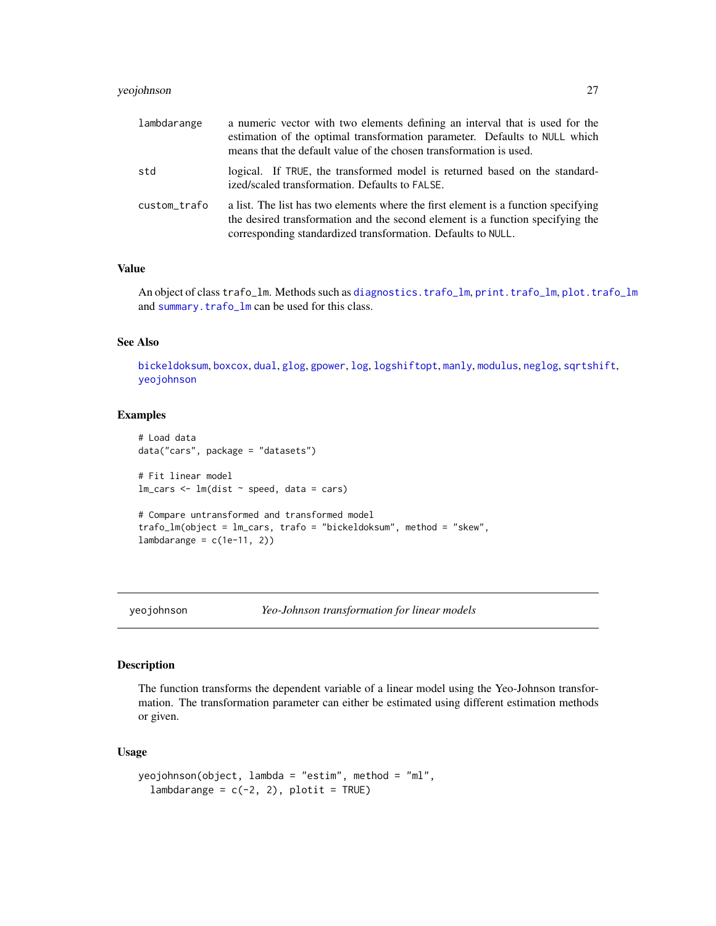# <span id="page-26-0"></span>yeojohnson 27

| lambdarange  | a numeric vector with two elements defining an interval that is used for the<br>estimation of the optimal transformation parameter. Defaults to NULL which<br>means that the default value of the chosen transformation is used.     |
|--------------|--------------------------------------------------------------------------------------------------------------------------------------------------------------------------------------------------------------------------------------|
| std          | logical. If TRUE, the transformed model is returned based on the standard-<br>ized/scaled transformation. Defaults to FALSE.                                                                                                         |
| custom_trafo | a list. The list has two elements where the first element is a function specifying<br>the desired transformation and the second element is a function specifying the<br>corresponding standardized transformation. Defaults to NULL. |

# Value

An object of class trafo\_lm. Methods such as [diagnostics.trafo\\_lm](#page-8-1), [print.trafo\\_lm](#page-21-1), [plot.trafo\\_lm](#page-17-2) and [summary.trafo\\_lm](#page-23-2) can be used for this class.

# See Also

[bickeldoksum](#page-4-1), [boxcox](#page-5-1), [dual](#page-9-1), [glog](#page-10-1), [gpower](#page-11-1), [log](#page-0-0), [logshiftopt](#page-12-1), [manly](#page-14-1), [modulus](#page-15-1), [neglog](#page-16-1), [sqrtshift](#page-22-1), [yeojohnson](#page-26-1)

## Examples

```
# Load data
data("cars", package = "datasets")
# Fit linear model
lm\_cars < - lm(dist ~ p, speed, data = cars)# Compare untransformed and transformed model
trafo_lm(object = lm_cars, trafo = "bickeldoksum", method = "skew",
lambdarange = c(1e-11, 2)
```
<span id="page-26-1"></span>

yeojohnson *Yeo-Johnson transformation for linear models*

#### Description

The function transforms the dependent variable of a linear model using the Yeo-Johnson transformation. The transformation parameter can either be estimated using different estimation methods or given.

### Usage

```
yeojohnson(object, lambda = "estim", method = "ml",
  lambdarange = c(-2, 2), plotit = TRUE)
```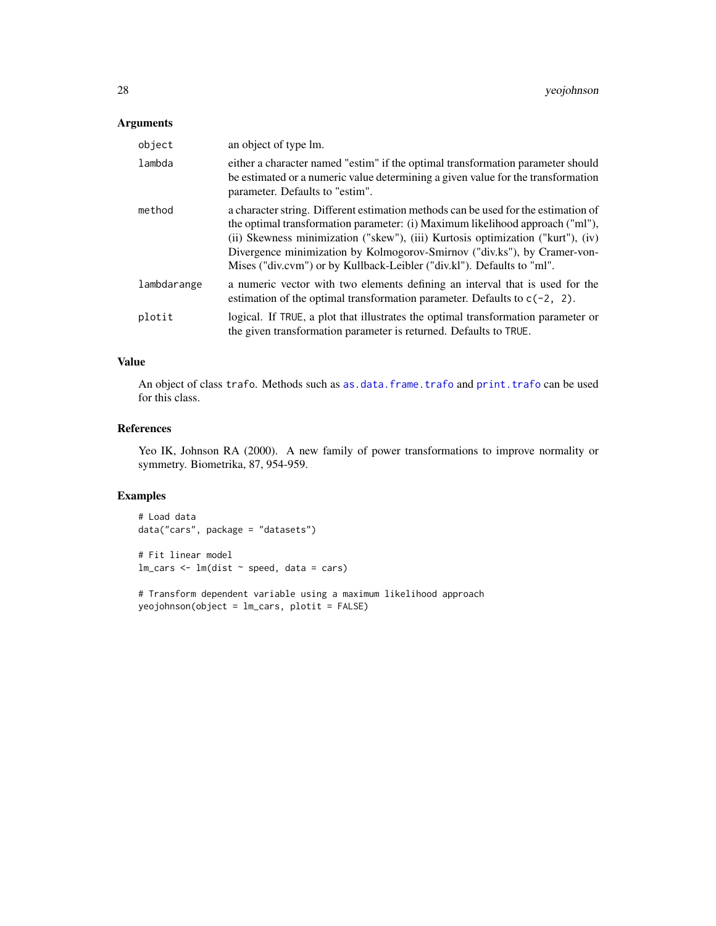# <span id="page-27-0"></span>Arguments

| object      | an object of type lm.                                                                                                                                                                                                                                                                                                                                                                                        |
|-------------|--------------------------------------------------------------------------------------------------------------------------------------------------------------------------------------------------------------------------------------------------------------------------------------------------------------------------------------------------------------------------------------------------------------|
| lambda      | either a character named "estim" if the optimal transformation parameter should<br>be estimated or a numeric value determining a given value for the transformation<br>parameter. Defaults to "estim".                                                                                                                                                                                                       |
| method      | a character string. Different estimation methods can be used for the estimation of<br>the optimal transformation parameter: (i) Maximum likelihood approach ("ml"),<br>(ii) Skewness minimization ("skew"), (iii) Kurtosis optimization ("kurt"), (iv)<br>Divergence minimization by Kolmogorov-Smirnov ("div.ks"), by Cramer-von-<br>Mises ("div.cvm") or by Kullback-Leibler ("div.kl"). Defaults to "ml". |
| lambdarange | a numeric vector with two elements defining an interval that is used for the<br>estimation of the optimal transformation parameter. Defaults to $c(-2, 2)$ .                                                                                                                                                                                                                                                 |
| plotit      | logical. If TRUE, a plot that illustrates the optimal transformation parameter or<br>the given transformation parameter is returned. Defaults to TRUE.                                                                                                                                                                                                                                                       |

# Value

An object of class trafo. Methods such as [as.data.frame.trafo](#page-2-1) and [print.trafo](#page-20-1) can be used for this class.

#### References

Yeo IK, Johnson RA (2000). A new family of power transformations to improve normality or symmetry. Biometrika, 87, 954-959.

# Examples

# Load data data("cars", package = "datasets")

# Fit linear model  $lm\_cars < - lm(dist ~ p, speed, data = cars)$ 

# Transform dependent variable using a maximum likelihood approach yeojohnson(object = lm\_cars, plotit = FALSE)